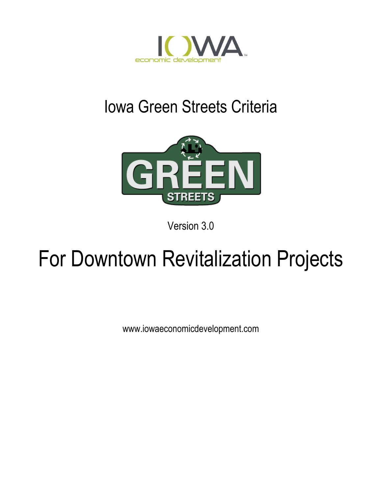

# Iowa Green Streets Criteria



Version 3.0

# For Downtown Revitalization Projects

www.iowaeconomicdevelopment.com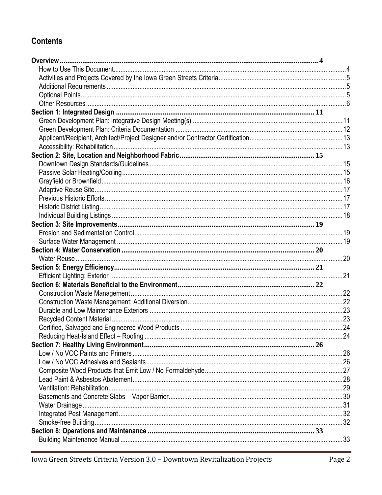## **Contents**

| .24 |
|-----|
|     |
|     |
|     |
|     |
|     |
|     |
|     |
|     |
|     |
|     |
|     |
|     |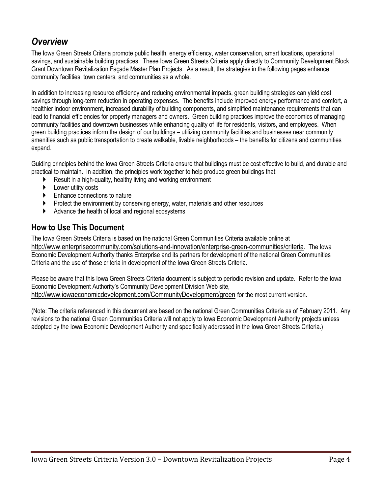## <span id="page-3-0"></span>*Overview*

The Iowa Green Streets Criteria promote public health, energy efficiency, water conservation, smart locations, operational savings, and sustainable building practices. These Iowa Green Streets Criteria apply directly to Community Development Block Grant Downtown Revitalization Façade Master Plan Projects. As a result, the strategies in the following pages enhance community facilities, town centers, and communities as a whole.

In addition to increasing resource efficiency and reducing environmental impacts, green building strategies can yield cost savings through long-term reduction in operating expenses. The benefits include improved energy performance and comfort, a healthier indoor environment, increased durability of building components, and simplified maintenance requirements that can lead to financial efficiencies for property managers and owners. Green building practices improve the economics of managing community facilities and downtown businesses while enhancing quality of life for residents, visitors, and employees. When green building practices inform the design of our buildings – utilizing community facilities and businesses near community amenities such as public transportation to create walkable, livable neighborhoods – the benefits for citizens and communities expand.

Guiding principles behind the Iowa Green Streets Criteria ensure that buildings must be cost effective to build, and durable and practical to maintain. In addition, the principles work together to help produce green buildings that:

- Result in a high-quality, healthy living and working environment
- ▶ Lower utility costs
- **Enhance connections to nature**
- Protect the environment by conserving energy, water, materials and other resources
- Advance the health of local and regional ecosystems

## <span id="page-3-1"></span>**How to Use This Document**

The Iowa Green Streets Criteria is based on the national Green Communities Criteria available online at <http://www.enterprisecommunity.com/solutions-and-innovation/enterprise-green-communities/criteria>. The Iowa Economic Development Authority thanks Enterprise and its partners for development of the national Green Communities Criteria and the use of those criteria in development of the Iowa Green Streets Criteria.

Please be aware that this Iowa Green Streets Criteria document is subject to periodic revision and update. Refer to the Iowa Economic Development Authority's Community Development Division Web site, <http://www.iowaeconomicdevelopment.com/CommunityDevelopment/green> for the most current version.

(Note: The criteria referenced in this document are based on the national Green Communities Criteria as of February 2011. Any revisions to the national Green Communities Criteria will not apply to Iowa Economic Development Authority projects unless adopted by the Iowa Economic Development Authority and specifically addressed in the Iowa Green Streets Criteria.)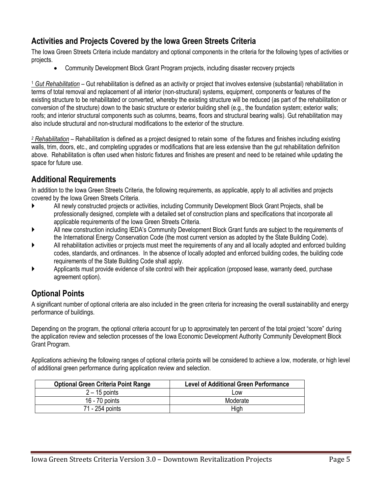## <span id="page-4-0"></span>**Activities and Projects Covered by the Iowa Green Streets Criteria**

The Iowa Green Streets Criteria include mandatory and optional components in the criteria for the following types of activities or projects.

Community Development Block Grant Program projects, including disaster recovery projects

<sup>1</sup> *Gut Rehabilitation* – Gut rehabilitation is defined as an activity or project that involves extensive (substantial) rehabilitation in terms of total removal and replacement of all interior (non-structural) systems, equipment, components or features of the existing structure to be rehabilitated or converted, whereby the existing structure will be reduced (as part of the rehabilitation or conversion of the structure) down to the basic structure or exterior building shell (e.g., the foundation system; exterior walls; roofs; and interior structural components such as columns, beams, floors and structural bearing walls). Gut rehabilitation may also include structural and non-structural modifications to the exterior of the structure.

*<sup>2</sup> Rehabilitation* – Rehabilitation is defined as a project designed to retain some of the fixtures and finishes including existing walls, trim, doors, etc., and completing upgrades or modifications that are less extensive than the gut rehabilitation definition above. Rehabilitation is often used when historic fixtures and finishes are present and need to be retained while updating the space for future use.

## <span id="page-4-1"></span>**Additional Requirements**

In addition to the Iowa Green Streets Criteria, the following requirements, as applicable, apply to all activities and projects covered by the Iowa Green Streets Criteria.

- All newly constructed projects or activities, including Community Development Block Grant Projects, shall be professionally designed, complete with a detailed set of construction plans and specifications that incorporate all applicable requirements of the Iowa Green Streets Criteria.
- All new construction including IEDA's Community Development Block Grant funds are subject to the requirements of the International Energy Conservation Code (the most current version as adopted by the State Building Code).
- All rehabilitation activities or projects must meet the requirements of any and all locally adopted and enforced building codes, standards, and ordinances. In the absence of locally adopted and enforced building codes, the building code requirements of the State Building Code shall apply.
- Applicants must provide evidence of site control with their application (proposed lease, warranty deed, purchase agreement option).

## <span id="page-4-2"></span>**Optional Points**

A significant number of optional criteria are also included in the green criteria for increasing the overall sustainability and energy performance of buildings.

Depending on the program, the optional criteria account for up to approximately ten percent of the total project "score" during the application review and selection processes of the Iowa Economic Development Authority Community Development Block Grant Program.

Applications achieving the following ranges of optional criteria points will be considered to achieve a low, moderate, or high level of additional green performance during application review and selection.

| <b>Optional Green Criteria Point Range</b> | <b>Level of Additional Green Performance</b> |
|--------------------------------------------|----------------------------------------------|
| $2 - 15$ points                            | Low                                          |
| 16 - 70 points                             | Moderate                                     |
| 71 - 254 points                            | High                                         |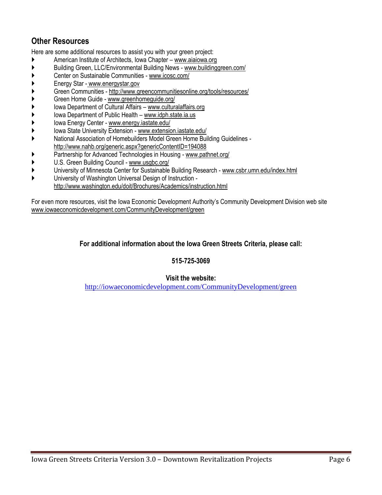## <span id="page-5-0"></span>**Other Resources**

Here are some additional resources to assist you with your green project:

- American Institute of Architects, Iowa Chapter [www.aiaiowa.org](http://www.aiaiowa.org/)
- Building Green, LLC/Environmental Building News [www.buildinggreen.com/](http://www.buildinggreen.com/)
- Center on Sustainable Communities [www.icosc.com/](http://www.icosc.com/)
- Energy Star [www.energystar.gov](http://www.energystar.gov/)
- Green Communities http://www.greencommunitiesonline.org/tools/resources/
- Green Home Guide [www.greenhomeguide.org/](http://www.greenhomeguide.org/)
- Iowa Department of Cultural Affairs [www.culturalaffairs.org](http://www.culturalaffairs.org/)
- Iowa Department of Public Health [www.idph.state.ia.us](http://www.idph.state.ia.us/)
- Iowa Energy Center [www.energy.iastate.edu/](http://www.energy.iastate.edu/)
- Iowa State University Extension [www.extension.iastate.edu/](http://www.extension.iastate.edu/)
- National Association of Homebuilders Model Green Home Building Guidelines <http://www.nahb.org/generic.aspx?genericContentID=194088>
- Partnership for Advanced Technologies in Housing [www.pathnet.org/](http://www.pathnet.org/)
- U.S. Green Building Council [www.usgbc.org/](http://www.usgbc.org/)
- University of Minnesota Center for Sustainable Building Research [www.csbr.umn.edu/index.html](http://www.csbr.umn.edu/index.html)
- University of Washington Universal Design of Instruction <http://www.washington.edu/doit/Brochures/Academics/instruction.html>

For even more resources, visit the Iowa Economic Development Authority's Community Development Division web site www.iowaeconomicdevelopment.com/CommunityDevelopment/green

#### **For additional information about the Iowa Green Streets Criteria, please call:**

#### **515-725-3069**

#### **Visit the website:**

<http://iowaeconomicdevelopment.com/CommunityDevelopment/green>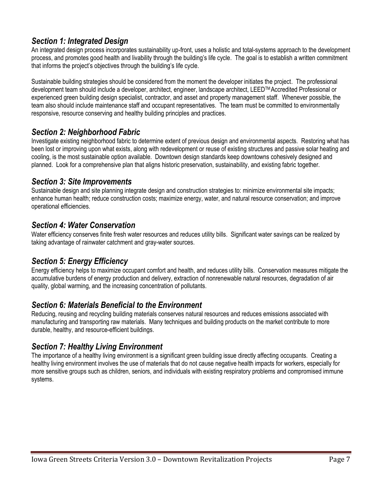## *Section 1: Integrated Design*

An integrated design process incorporates sustainability up-front, uses a holistic and total-systems approach to the development process, and promotes good health and livability through the building's life cycle. The goal is to establish a written commitment that informs the project's objectives through the building's life cycle.

Sustainable building strategies should be considered from the moment the developer initiates the project. The professional development team should include a developer, architect, engineer, landscape architect, LEED™Accredited Professional or experienced green building design specialist, contractor, and asset and property management staff. Whenever possible, the team also should include maintenance staff and occupant representatives. The team must be committed to environmentally responsive, resource conserving and healthy building principles and practices.

## *Section 2: Neighborhood Fabric*

Investigate existing neighborhood fabric to determine extent of previous design and environmental aspects. Restoring what has been lost or improving upon what exists, along with redevelopment or reuse of existing structures and passive solar heating and cooling, is the most sustainable option available. Downtown design standards keep downtowns cohesively designed and planned. Look for a comprehensive plan that aligns historic preservation, sustainability, and existing fabric together.

## *Section 3: Site Improvements*

Sustainable design and site planning integrate design and construction strategies to: minimize environmental site impacts; enhance human health; reduce construction costs; maximize energy, water, and natural resource conservation; and improve operational efficiencies.

## *Section 4: Water Conservation*

Water efficiency conserves finite fresh water resources and reduces utility bills. Significant water savings can be realized by taking advantage of rainwater catchment and gray-water sources.

## *Section 5: Energy Efficiency*

Energy efficiency helps to maximize occupant comfort and health, and reduces utility bills. Conservation measures mitigate the accumulative burdens of energy production and delivery, extraction of nonrenewable natural resources, degradation of air quality, global warming, and the increasing concentration of pollutants.

## *Section 6: Materials Beneficial to the Environment*

Reducing, reusing and recycling building materials conserves natural resources and reduces emissions associated with manufacturing and transporting raw materials. Many techniques and building products on the market contribute to more durable, healthy, and resource-efficient buildings.

## *Section 7: Healthy Living Environment*

The importance of a healthy living environment is a significant green building issue directly affecting occupants. Creating a healthy living environment involves the use of materials that do not cause negative health impacts for workers, especially for more sensitive groups such as children, seniors, and individuals with existing respiratory problems and compromised immune systems.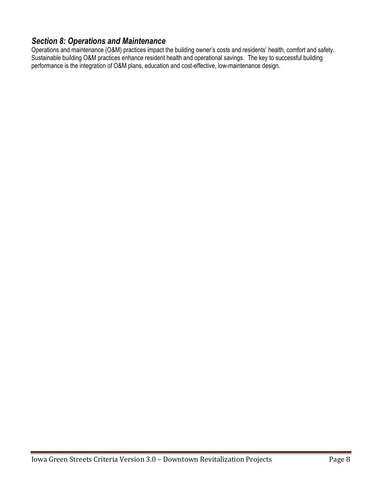## *Section 8: Operations and Maintenance*

Operations and maintenance (O&M) practices impact the building owner's costs and residents' health, comfort and safety. Sustainable building O&M practices enhance resident health and operational savings. The key to successful building performance is the integration of O&M plans, education and cost-effective, low-maintenance design.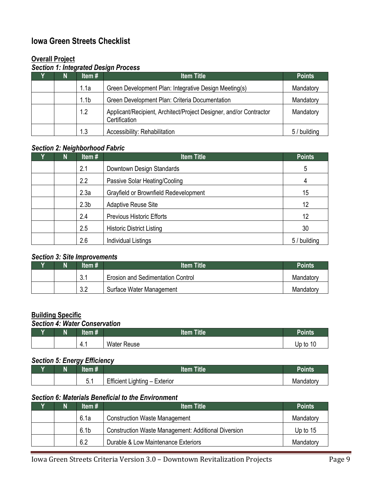## **Iowa Green Streets Checklist**

## **Overall Project**

## *Section 1: Integrated Design Process*

| N | Item $#$         | <b>Item Title</b>                                                                   | <b>Points</b> |
|---|------------------|-------------------------------------------------------------------------------------|---------------|
|   | 1.1a             | Green Development Plan: Integrative Design Meeting(s)                               | Mandatory     |
|   | 1.1 <sub>b</sub> | Green Development Plan: Criteria Documentation                                      | Mandatory     |
|   | 1.2              | Applicant/Recipient, Architect/Project Designer, and/or Contractor<br>Certification | Mandatory     |
|   | 1.3              | Accessibility: Rehabilitation                                                       | 5 / building  |

#### *Section 2: Neighborhood Fabric*

| N | Item#            | <b>Item Title</b>                     | <b>Points</b> |
|---|------------------|---------------------------------------|---------------|
|   | 2.1              | Downtown Design Standards             | 5             |
|   | 2.2              | Passive Solar Heating/Cooling         | 4             |
|   | 2.3a             | Grayfield or Brownfield Redevelopment | 15            |
|   | 2.3 <sub>b</sub> | <b>Adaptive Reuse Site</b>            | 12            |
|   | 2.4              | <b>Previous Historic Efforts</b>      | 12            |
|   | 2.5              | <b>Historic District Listing</b>      | 30            |
|   | 2.6              | <b>Individual Listings</b>            | 5 / building  |

#### *Section 3: Site Improvements*

| N | ltem #             | <b>Item Title</b>                        | Points    |
|---|--------------------|------------------------------------------|-----------|
|   | <u>ລ 4</u><br>J. I | <b>Erosion and Sedimentation Control</b> | Mandatory |
|   | າ າ<br>ے.د         | Surface Water Management                 | Mandatory |

## **Building Specific**

#### *Section 4: Water Conservation*

| $\mathsf{N}$ | m<br>.<br>еш # | <b>Title</b><br><b>Item</b> | <b>Points</b> |
|--------------|----------------|-----------------------------|---------------|
|              | $-4.1$         | <b>Water Reuse</b>          | Up to 1<br>ΙU |

#### *Section 5: Energy Efficiency*

| п.<br>N | . .           | ---<br>.4 L –                          | יווו           |
|---------|---------------|----------------------------------------|----------------|
|         | -<br>$\cup$ . | $ -$<br>Exterior<br>Efficient Lighting | WE.<br>поатогу |

#### *Section 6: Materials Beneficial to the Environment*

| N | Item#            | <b>Item Title</b>                                          | <b>Points</b> |
|---|------------------|------------------------------------------------------------|---------------|
|   | 6.1a             | <b>Construction Waste Management</b>                       | Mandatory     |
|   | 6.1 <sub>b</sub> | <b>Construction Waste Management: Additional Diversion</b> | Up to 15      |
|   | 6.2              | Durable & Low Maintenance Exteriors                        | Mandatory     |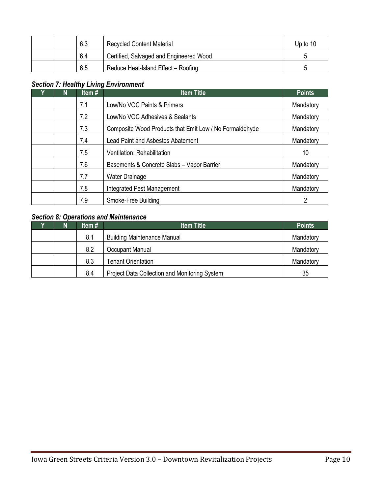|  | 6.3 | <b>Recycled Content Material</b>        | Up to 10 |
|--|-----|-----------------------------------------|----------|
|  | 6.4 | Certified, Salvaged and Engineered Wood |          |
|  | 6.5 | Reduce Heat-Island Effect - Roofing     |          |

## *Section 7: Healthy Living Environment*

| N | Item# | <b>Item Title</b>                                       | <b>Points</b> |
|---|-------|---------------------------------------------------------|---------------|
|   | 7.1   | Low/No VOC Paints & Primers                             | Mandatory     |
|   | 7.2   | Low/No VOC Adhesives & Sealants                         | Mandatory     |
|   | 7.3   | Composite Wood Products that Emit Low / No Formaldehyde | Mandatory     |
|   | 7.4   | <b>Lead Paint and Asbestos Abatement</b>                | Mandatory     |
|   | 7.5   | Ventilation: Rehabilitation                             | 10            |
|   | 7.6   | Basements & Concrete Slabs - Vapor Barrier              | Mandatory     |
|   | 7.7   | <b>Water Drainage</b>                                   | Mandatory     |
|   | 7.8   | Integrated Pest Management                              | Mandatory     |
|   | 7.9   | Smoke-Free Building                                     |               |

## *Section 8: Operations and Maintenance*

| N | Item $#$ | <b>Item Title</b>                             | <b>Points</b> |
|---|----------|-----------------------------------------------|---------------|
|   | 8.1      | <b>Building Maintenance Manual</b>            | Mandatory     |
|   | 8.2      | Occupant Manual                               | Mandatory     |
|   | 8.3      | <b>Tenant Orientation</b>                     | Mandatory     |
|   | 8.4      | Project Data Collection and Monitoring System | 35            |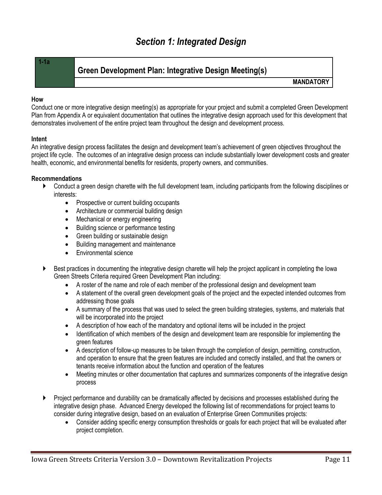## <span id="page-10-1"></span>**Green Development Plan: Integrative Design Meeting(s)**

**MANDATORY** 

#### **How**

Conduct one or more integrative design meeting(s) as appropriate for your project and submit a completed Green Development Plan from Appendix A or equivalent documentation that outlines the integrative design approach used for this development that demonstrates involvement of the entire project team throughout the design and development process.

#### **Intent**

An integrative design process facilitates the design and development team's achievement of green objectives throughout the project life cycle. The outcomes of an integrative design process can include substantially lower development costs and greater health, economic, and environmental benefits for residents, property owners, and communities.

#### **Recommendations**

- Conduct a green design charette with the full development team, including participants from the following disciplines or interests:
	- Prospective or current building occupants
	- Architecture or commercial building design
	- Mechanical or energy engineering
	- Building science or performance testing
	- Green building or sustainable design
	- Building management and maintenance
	- Environmental science
- Best practices in documenting the integrative design charette will help the project applicant in completing the Iowa Green Streets Criteria required Green Development Plan including:
	- A roster of the name and role of each member of the professional design and development team
	- A statement of the overall green development goals of the project and the expected intended outcomes from addressing those goals
	- A summary of the process that was used to select the green building strategies, systems, and materials that will be incorporated into the project
	- A description of how each of the mandatory and optional items will be included in the project
	- Identification of which members of the design and development team are responsible for implementing the green features
	- A description of follow-up measures to be taken through the completion of design, permitting, construction, and operation to ensure that the green features are included and correctly installed, and that the owners or tenants receive information about the function and operation of the features
	- Meeting minutes or other documentation that captures and summarizes components of the integrative design process
- Project performance and durability can be dramatically affected by decisions and processes established during the integrative design phase. Advanced Energy developed the following list of recommendations for project teams to consider during integrative design, based on an evaluation of Enterprise Green Communities projects:
	- Consider adding specific energy consumption thresholds or goals for each project that will be evaluated after project completion.

<span id="page-10-0"></span>**<sup>1-1</sup>a**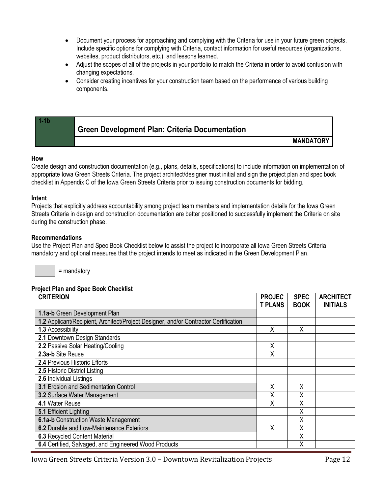- Document your process for approaching and complying with the Criteria for use in your future green projects. Include specific options for complying with Criteria, contact information for useful resources (organizations, websites, product distributors, etc.), and lessons learned.
- Adjust the scopes of all of the projects in your portfolio to match the Criteria in order to avoid confusion with changing expectations.
- <span id="page-11-0"></span> Consider creating incentives for your construction team based on the performance of various building components.

| <b>Green Development Plan: Criteria Documentation</b> |                  |
|-------------------------------------------------------|------------------|
|                                                       | <b>MANDATORY</b> |

#### **How**

Create design and construction documentation (e.g., plans, details, specifications) to include information on implementation of appropriate Iowa Green Streets Criteria. The project architect/designer must initial and sign the project plan and spec book checklist in Appendix C of the Iowa Green Streets Criteria prior to issuing construction documents for bidding.

#### **Intent**

Projects that explicitly address accountability among project team members and implementation details for the Iowa Green Streets Criteria in design and construction documentation are better positioned to successfully implement the Criteria on site during the construction phase.

#### **Recommendations**

Use the Project Plan and Spec Book Checklist below to assist the project to incorporate all Iowa Green Streets Criteria mandatory and optional measures that the project intends to meet as indicated in the Green Development Plan.

= mandatory

#### **Project Plan and Spec Book Checklist**

| <b>CRITERION</b><br><b>PROJEC</b>                                                    |                | <b>SPEC</b> | <b>ARCHITECT</b> |
|--------------------------------------------------------------------------------------|----------------|-------------|------------------|
|                                                                                      | <b>T PLANS</b> | <b>BOOK</b> | <b>INITIALS</b>  |
| 1.1a-b Green Development Plan                                                        |                |             |                  |
| 1.2 Applicant/Recipient, Architect/Project Designer, and/or Contractor Certification |                |             |                  |
| 1.3 Accessibility                                                                    | Χ              | Χ           |                  |
| 2.1 Downtown Design Standards                                                        |                |             |                  |
| 2.2 Passive Solar Heating/Cooling                                                    | X              |             |                  |
| 2.3a-b Site Reuse                                                                    | Χ              |             |                  |
| 2.4 Previous Historic Efforts                                                        |                |             |                  |
| 2.5 Historic District Listing                                                        |                |             |                  |
| 2.6 Individual Listings                                                              |                |             |                  |
| 3.1 Erosion and Sedimentation Control                                                | Χ              | Χ           |                  |
| 3.2 Surface Water Management                                                         | X              | Χ           |                  |
| 4.1 Water Reuse                                                                      | χ              | Χ           |                  |
| 5.1 Efficient Lighting                                                               |                | Χ           |                  |
| 6.1a-b Construction Waste Management                                                 |                | Χ           |                  |
| 6.2 Durable and Low-Maintenance Exteriors                                            | Χ              | Χ           |                  |
| <b>6.3 Recycled Content Material</b>                                                 |                | X           |                  |
| 6.4 Certified, Salvaged, and Engineered Wood Products                                |                | X           |                  |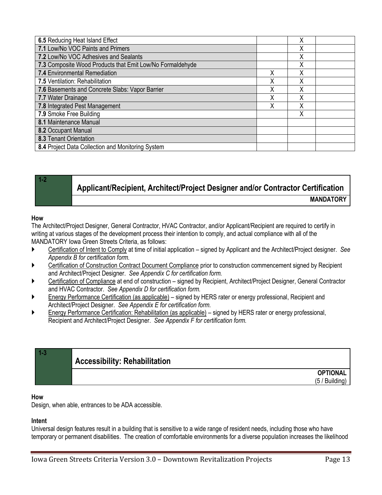| 6.5 Reducing Heat Island Effect                           |   | Χ |  |
|-----------------------------------------------------------|---|---|--|
| 7.1 Low/No VOC Paints and Primers                         |   | Χ |  |
| 7.2 Low/No VOC Adhesives and Sealants                     |   | Χ |  |
| 7.3 Composite Wood Products that Emit Low/No Formaldehyde |   | Χ |  |
| 7.4 Environmental Remediation                             | Χ | Χ |  |
| 7.5 Ventilation: Rehabilitation                           | Χ | Χ |  |
| 7.6 Basements and Concrete Slabs: Vapor Barrier           |   | Χ |  |
| 7.7 Water Drainage                                        | χ | Χ |  |
| 7.8 Integrated Pest Management                            | Χ | Χ |  |
| 7.9 Smoke Free Building                                   |   | Χ |  |
| 8.1 Maintenance Manual                                    |   |   |  |
| 8.2 Occupant Manual                                       |   |   |  |
| 8.3 Tenant Orientation                                    |   |   |  |
| 8.4 Project Data Collection and Monitoring System         |   |   |  |

## <span id="page-12-0"></span>**Applicant/Recipient, Architect/Project Designer and/or Contractor Certification MANDATORY**

#### **How**

**1-2**

The Architect/Project Designer, General Contractor, HVAC Contractor, and/or Applicant/Recipient are required to certify in writing at various stages of the development process their intention to comply, and actual compliance with all of the MANDATORY Iowa Green Streets Criteria, as follows:

- Certification of Intent to Comply at time of initial application signed by Applicant and the Architect/Project designer. *See Appendix B for certification form.*
- Certification of Construction Contract Document Compliance prior to construction commencement signed by Recipient and Architect/Project Designer. *See Appendix C for certification form.*
- Certification of Compliance at end of construction signed by Recipient, Architect/Project Designer, General Contractor and HVAC Contractor. *See Appendix D for certification form.*
- Energy Performance Certification (as applicable) signed by HERS rater or energy professional, Recipient and Architect/Project Designer. *See Appendix E for certification form.*
- Energy Performance Certification: Rehabilitation (as applicable) signed by HERS rater or energy professional, Recipient and Architect/Project Designer. *See Appendix F for certification form.*

<span id="page-12-1"></span>

| <b>Accessibility: Rehabilitation</b> |                    |
|--------------------------------------|--------------------|
|                                      | <b>OPTIONAL</b>    |
|                                      | ' Building,<br>(5/ |

#### **How**

Design, when able, entrances to be ADA accessible.

#### **Intent**

Universal design features result in a building that is sensitive to a wide range of resident needs, including those who have temporary or permanent disabilities. The creation of comfortable environments for a diverse population increases the likelihood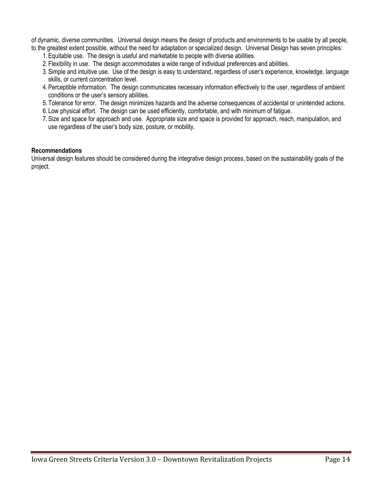of dynamic, diverse communities. Universal design means the design of products and environments to be usable by all people, to the greatest extent possible, without the need for adaptation or specialized design. Universal Design has seven principles:

- 1.Equitable use. The design is useful and marketable to people with diverse abilities.
- 2. Flexibility in use. The design accommodates a wide range of individual preferences and abilities.
- 3.Simple and intuitive use. Use of the design is easy to understand, regardless of user's experience, knowledge, language skills, or current concentration level.
- 4.Perceptible information. The design communicates necessary information effectively to the user, regardless of ambient conditions or the user's sensory abilities.
- 5. Tolerance for error. The design minimizes hazards and the adverse consequences of accidental or unintended actions.
- 6. Low physical effort. The design can be used efficiently, comfortable, and with minimum of fatigue.
- 7.Size and space for approach and use. Appropriate size and space is provided for approach, reach, manipulation, and use regardless of the user's body size, posture, or mobility.

#### **Recommendations**

Universal design features should be considered during the integrative design process, based on the sustainability goals of the project.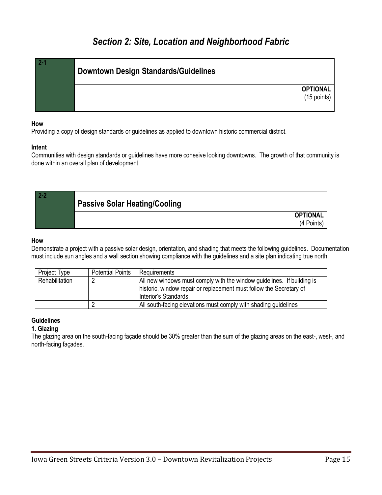## <span id="page-14-1"></span>*Section 2: Site, Location and Neighborhood Fabric*

<span id="page-14-0"></span>

| $2 - 1$ | <b>Downtown Design Standards/Guidelines</b> |
|---------|---------------------------------------------|
|         | <b>OPTIONAL</b><br>$(15$ points)            |

#### **How**

Providing a copy of design standards or guidelines as applied to downtown historic commercial district.

#### **Intent**

Communities with design standards or guidelines have more cohesive looking downtowns. The growth of that community is done within an overall plan of development.

<span id="page-14-2"></span>

| <b>Passive Solar Heating/Cooling</b> |                 |
|--------------------------------------|-----------------|
|                                      | <b>OPTIONAL</b> |
|                                      | (4 Points)      |

#### **How**

Demonstrate a project with a passive solar design, orientation, and shading that meets the following guidelines. Documentation must include sun angles and a wall section showing compliance with the guidelines and a site plan indicating true north.

| Project Type   | <b>Potential Points</b> | Requirements                                                                                                                                                           |
|----------------|-------------------------|------------------------------------------------------------------------------------------------------------------------------------------------------------------------|
| Rehabilitation |                         | All new windows must comply with the window guidelines. If building is<br>historic, window repair or replacement must follow the Secretary of<br>Interior's Standards. |
|                |                         | All south-facing elevations must comply with shading guidelines                                                                                                        |

#### **Guidelines**

#### **1. Glazing**

The glazing area on the south-facing façade should be 30% greater than the sum of the glazing areas on the east-, west-, and north-facing façades.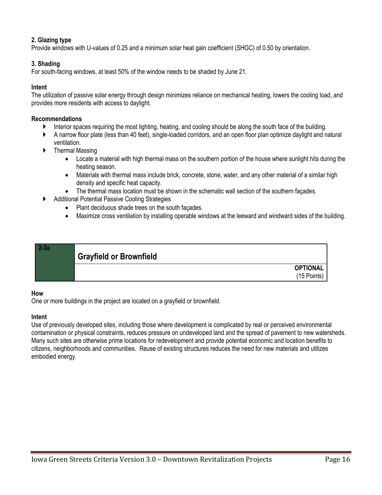#### **2. Glazing type**

Provide windows with U-values of 0.25 and a minimum solar heat gain coefficient (SHGC) of 0.50 by orientation.

#### **3. Shading**

For south-facing windows, at least 50% of the window needs to be shaded by June 21.

#### **Intent**

The utilization of passive solar energy through design minimizes reliance on mechanical heating, lowers the cooling load, and provides more residents with access to daylight.

#### **Recommendations**

- Interior spaces requiring the most lighting, heating, and cooling should be along the south face of the building.
- A narrow floor plate (less than 40 feet), single-loaded corridors, and an open floor plan optimize daylight and natural ventilation.
- Thermal Massing
	- Locate a material with high thermal mass on the southern portion of the house where sunlight hits during the heating season.
	- Materials with thermal mass include brick, concrete, stone, water, and any other material of a similar high density and specific heat capacity.
	- The thermal mass location must be shown in the schematic wall section of the southern façades.
- Additional Potential Passive Cooling Strategies
	- Plant deciduous shade trees on the south façades.
	- Maximize cross ventilation by installing operable windows at the leeward and windward sides of the building.

<span id="page-15-0"></span>

#### **How**

One or more buildings in the project are located on a grayfield or brownfield.

#### **Intent**

Use of previously developed sites, including those where development is complicated by real or perceived environmental contamination or physical constraints, reduces pressure on undeveloped land and the spread of pavement to new watersheds. Many such sites are otherwise prime locations for redevelopment and provide potential economic and location benefits to citizens, neighborhoods and communities. Reuse of existing structures reduces the need for new materials and utilizes embodied energy.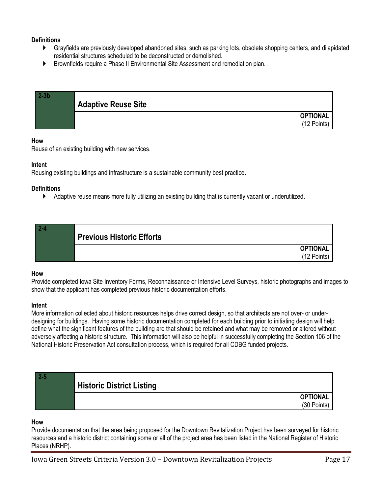#### **Definitions**

- Grayfields are previously developed abandoned sites, such as parking lots, obsolete shopping centers, and dilapidated residential structures scheduled to be deconstructed or demolished.
- Brownfields require a Phase II Environmental Site Assessment and remediation plan.

<span id="page-16-0"></span>

| 2-3b | <b>Adaptive Reuse Site</b> |                                |
|------|----------------------------|--------------------------------|
|      |                            | <b>OPTIONAL</b><br>(12 Points) |

#### **How**

Reuse of an existing building with new services.

#### **Intent**

Reusing existing buildings and infrastructure is a sustainable community best practice.

#### **Definitions**

Adaptive reuse means more fully utilizing an existing building that is currently vacant or underutilized.

<span id="page-16-1"></span>

| $2 - 4$ | <b>Previous Historic Efforts</b> |                                |
|---------|----------------------------------|--------------------------------|
|         |                                  | <b>OPTIONAL</b><br>(12 Points) |

#### **How**

Provide completed Iowa Site Inventory Forms, Reconnaissance or Intensive Level Surveys, historic photographs and images to show that the applicant has completed previous historic documentation efforts.

#### **Intent**

More information collected about historic resources helps drive correct design, so that architects are not over- or underdesigning for buildings. Having some historic documentation completed for each building prior to initiating design will help define what the significant features of the building are that should be retained and what may be removed or altered without adversely affecting a historic structure. This information will also be helpful in successfully completing the Section 106 of the National Historic Preservation Act consultation process, which is required for all CDBG funded projects.

<span id="page-16-2"></span>

| <b>Historic District Listing</b> |                 |
|----------------------------------|-----------------|
|                                  | <b>OPTIONAL</b> |
|                                  | (30 Points)     |

#### **How**

Provide documentation that the area being proposed for the Downtown Revitalization Project has been surveyed for historic resources and a historic district containing some or all of the project area has been listed in the National Register of Historic Places (NRHP).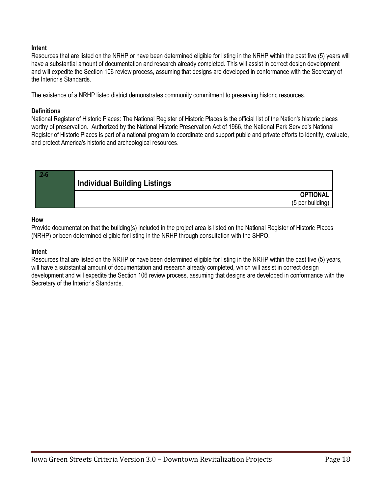#### **Intent**

Resources that are listed on the NRHP or have been determined eligible for listing in the NRHP within the past five (5) years will have a substantial amount of documentation and research already completed. This will assist in correct design development and will expedite the Section 106 review process, assuming that designs are developed in conformance with the Secretary of the Interior's Standards.

The existence of a NRHP listed district demonstrates community commitment to preserving historic resources.

#### **Definitions**

National Register of Historic Places: The National Register of Historic Places is the official list of the Nation's historic places worthy of preservation. Authorized by the National Historic Preservation Act of 1966, the National Park Service's National Register of Historic Places is part of a national program to coordinate and support public and private efforts to identify, evaluate, and protect America's historic and archeological resources.

<span id="page-17-0"></span>

#### **How**

Provide documentation that the building(s) included in the project area is listed on the National Register of Historic Places (NRHP) or been determined eligible for listing in the NRHP through consultation with the SHPO.

#### **Intent**

Resources that are listed on the NRHP or have been determined eligible for listing in the NRHP within the past five (5) years, will have a substantial amount of documentation and research already completed, which will assist in correct design development and will expedite the Section 106 review process, assuming that designs are developed in conformance with the Secretary of the Interior's Standards.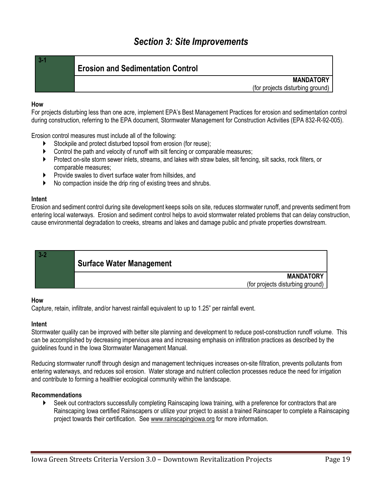## *Section 3: Site Improvements*

### <span id="page-18-0"></span>**3-1**

#### <span id="page-18-1"></span>**Erosion and Sedimentation Control**

**MANDATORY** (for projects disturbing ground)

#### **How**

For projects disturbing less than one acre, implement EPA's Best Management Practices for erosion and sedimentation control during construction, referring to the EPA document, Stormwater Management for Construction Activities (EPA 832-R-92-005).

Erosion control measures must include all of the following:

- Stockpile and protect disturbed topsoil from erosion (for reuse);
- Control the path and velocity of runoff with silt fencing or comparable measures;
- Protect on-site storm sewer inlets, streams, and lakes with straw bales, silt fencing, silt sacks, rock filters, or comparable measures;
- **Provide swales to divert surface water from hillsides, and**
- No compaction inside the drip ring of existing trees and shrubs.

#### **Intent**

Erosion and sediment control during site development keeps soils on site, reduces stormwater runoff, and prevents sediment from entering local waterways. Erosion and sediment control helps to avoid stormwater related problems that can delay construction, cause environmental degradation to creeks, streams and lakes and damage public and private properties downstream.

<span id="page-18-2"></span>

#### **How**

Capture, retain, infiltrate, and/or harvest rainfall equivalent to up to 1.25" per rainfall event.

#### **Intent**

Stormwater quality can be improved with better site planning and development to reduce post-construction runoff volume. This can be accomplished by decreasing impervious area and increasing emphasis on infiltration practices as described by the guidelines found in the Iowa Stormwater Management Manual.

Reducing stormwater runoff through design and management techniques increases on-site filtration, prevents pollutants from entering waterways, and reduces soil erosion. Water storage and nutrient collection processes reduce the need for irrigation and contribute to forming a healthier ecological community within the landscape.

#### **Recommendations**

 Seek out contractors successfully completing Rainscaping Iowa training, with a preference for contractors that are Rainscaping Iowa certified Rainscapers or utilize your project to assist a trained Rainscaper to complete a Rainscaping project towards their certification. See [www.rainscapingiowa.org](http://www.rainscapingiowa.org/) for more information.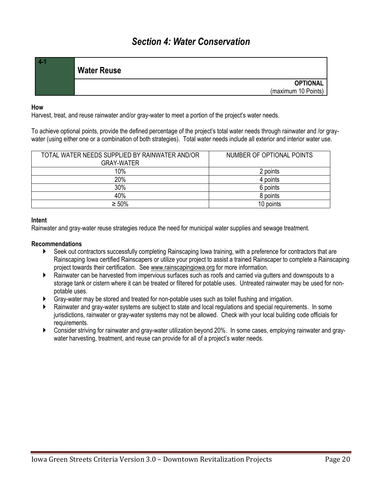<span id="page-19-1"></span><span id="page-19-0"></span>

| <b>Water Reuse</b> |                                        |
|--------------------|----------------------------------------|
|                    | <b>OPTIONAL</b><br>(maximum 10 Points) |
|                    |                                        |

#### **How**

Harvest, treat, and reuse rainwater and/or gray-water to meet a portion of the project's water needs.

To achieve optional points, provide the defined percentage of the project's total water needs through rainwater and /or graywater (using either one or a combination of both strategies). Total water needs include all exterior and interior water use.

| TOTAL WATER NEEDS SUPPLIED BY RAINWATER AND/OR<br>GRAY-WATER | NUMBER OF OPTIONAL POINTS |
|--------------------------------------------------------------|---------------------------|
| 10%                                                          | 2 points                  |
| 20%                                                          | 4 points                  |
| 30%                                                          | 6 points                  |
| 40%                                                          | 8 points                  |
| $\geq 50\%$                                                  | 10 points                 |

#### **Intent**

Rainwater and gray-water reuse strategies reduce the need for municipal water supplies and sewage treatment.

#### **Recommendations**

- ▶ Seek out contractors successfully completing Rainscaping lowa training, with a preference for contractors that are Rainscaping Iowa certified Rainscapers or utilize your project to assist a trained Rainscaper to complete a Rainscaping project towards their certification. See [www.rainscapingiowa.org](http://www.rainscapingiowa.org/) for more information.
- Rainwater can be harvested from impervious surfaces such as roofs and carried via gutters and downspouts to a storage tank or cistern where it can be treated or filtered for potable uses. Untreated rainwater may be used for nonpotable uses.
- Gray-water may be stored and treated for non-potable uses such as toilet flushing and irrigation.
- Rainwater and gray-water systems are subject to state and local regulations and special requirements. In some jurisdictions, rainwater or gray-water systems may not be allowed. Check with your local building code officials for requirements.
- Consider striving for rainwater and gray-water utilization beyond 20%. In some cases, employing rainwater and graywater harvesting, treatment, and reuse can provide for all of a project's water needs.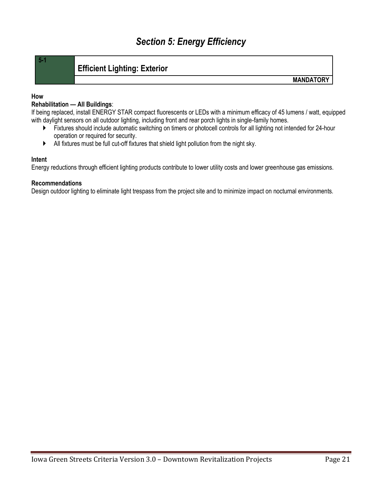## <span id="page-20-1"></span>**Efficient Lighting: Exterior**

**MANDATORY**

#### **How**

<span id="page-20-0"></span>**5-1**

#### **Rehabilitation — All Buildings**:

If being replaced, install ENERGY STAR compact fluorescents or LEDs with a minimum efficacy of 45 lumens / watt, equipped with daylight sensors on all outdoor lighting, including front and rear porch lights in single-family homes.

- Fixtures should include automatic switching on timers or photocell controls for all lighting not intended for 24-hour operation or required for security.
- All fixtures must be full cut-off fixtures that shield light pollution from the night sky.

#### **Intent**

Energy reductions through efficient lighting products contribute to lower utility costs and lower greenhouse gas emissions.

#### **Recommendations**

Design outdoor lighting to eliminate light trespass from the project site and to minimize impact on nocturnal environments.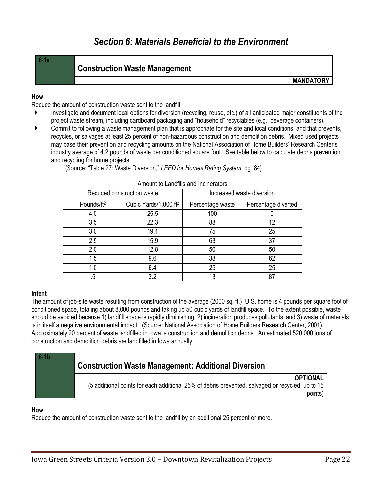## *Section 6: Materials Beneficial to the Environment*

<span id="page-21-0"></span>

| ٠ |  |  |
|---|--|--|
|   |  |  |

### <span id="page-21-1"></span>**Construction Waste Management**

**MANDATORY**

#### **How**

Reduce the amount of construction waste sent to the landfill.

- Investigate and document local options for diversion (recycling, reuse, etc.) of all anticipated major constituents of the project waste stream, including cardboard packaging and "household" recyclables (e.g., beverage containers).
- Commit to following a waste management plan that is appropriate for the site and local conditions, and that prevents, recycles, or salvages at least 25 percent of non-hazardous construction and demolition debris. Mixed used projects may base their prevention and recycling amounts on the National Association of Home Builders' Research Center's industry average of 4.2 pounds of waste per conditioned square foot. See table below to calculate debris prevention and recycling for home projects.

| Amount to Landfills and Incinerators |                                   |                           |                     |  |
|--------------------------------------|-----------------------------------|---------------------------|---------------------|--|
|                                      | Reduced construction waste        | Increased waste diversion |                     |  |
| Pounds/ft <sup>2</sup>               | Cubic Yards/1,000 ft <sup>2</sup> | Percentage waste          | Percentage diverted |  |
| 4.0                                  | 25.5                              | 100                       |                     |  |
| 3.5                                  | 22.3                              | 88                        | 12                  |  |
| 3.0                                  | 19.1                              | 75                        | 25                  |  |
| 2.5                                  | 15.9                              | 63                        | 37                  |  |
| 2.0                                  | 12.8                              | 50                        | 50                  |  |
| 1.5                                  | 9.6                               | 38                        | 62                  |  |
| 1.0                                  | 6.4                               | 25                        | 25                  |  |
| .5                                   | 3.2                               | 13                        | 87                  |  |

(Source: "Table 27: Waste Diversion," *LEED for Homes Rating System*, pg. 84)

#### **Intent**

The amount of job-site waste resulting from construction of the average (2000 sq. ft.) U.S. home is 4 pounds per square foot of conditioned space, totaling about 8,000 pounds and taking up 50 cubic yards of landfill space. To the extent possible, waste should be avoided because 1) landfill space is rapidly diminishing, 2) incineration produces pollutants, and 3) waste of materials is in itself a negative environmental impact. (Source: National Association of Home Builders Research Center, 2001) Approximately 20 percent of waste landfilled in Iowa is construction and demolition debris. An estimated 520,000 tons of construction and demolition debris are landfilled in Iowa annually.

<span id="page-21-2"></span>

| $6-1b$ | <b>Construction Waste Management: Additional Diversion</b>                                                                     |
|--------|--------------------------------------------------------------------------------------------------------------------------------|
|        | <b>OPTIONAL</b><br>(5 additional points for each additional 25% of debris prevented, salvaged or recycled; up to 15<br>points) |

#### **How**

Reduce the amount of construction waste sent to the landfill by an additional 25 percent or more.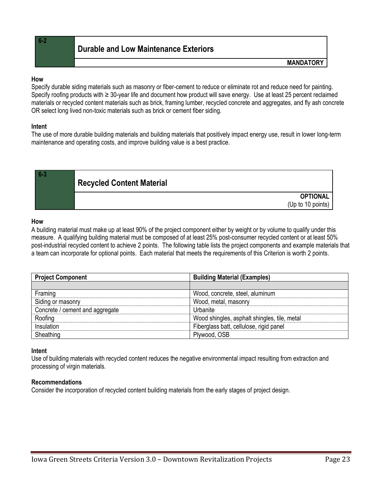<span id="page-22-0"></span>**6-2**

**MANDATORY**

#### **How**

Specify durable siding materials such as masonry or fiber-cement to reduce or eliminate rot and reduce need for painting. Specify roofing products with ≥ 30-year life and document how product will save energy. Use at least 25 percent reclaimed materials or recycled content materials such as brick, framing lumber, recycled concrete and aggregates, and fly ash concrete OR select long lived non-toxic materials such as brick or cement fiber siding.

#### **Intent**

The use of more durable building materials and building materials that positively impact energy use, result in lower long-term maintenance and operating costs, and improve building value is a best practice.

<span id="page-22-1"></span>

#### **How**

A building material must make up at least 90% of the project component either by weight or by volume to qualify under this measure. A qualifying building material must be composed of at least 25% post-consumer recycled content or at least 50% post-industrial recycled content to achieve 2 points. The following table lists the project components and example materials that a team can incorporate for optional points. Each material that meets the requirements of this Criterion is worth 2 points.

| <b>Project Component</b>        | <b>Building Material (Examples)</b>          |  |
|---------------------------------|----------------------------------------------|--|
|                                 |                                              |  |
| Framing                         | Wood, concrete, steel, aluminum              |  |
| Siding or masonry               | Wood, metal, masonry                         |  |
| Concrete / cement and aggregate | Urbanite                                     |  |
| Roofing                         | Wood shingles, asphalt shingles, tile, metal |  |
| Insulation                      | Fiberglass batt, cellulose, rigid panel      |  |
| Sheathing                       | Plywood, OSB                                 |  |

#### **Intent**

Use of building materials with recycled content reduces the negative environmental impact resulting from extraction and processing of virgin materials.

#### **Recommendations**

Consider the incorporation of recycled content building materials from the early stages of project design.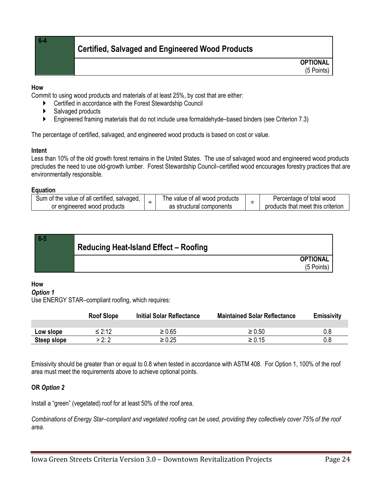**6-4**

## <span id="page-23-0"></span>**Certified, Salvaged and Engineered Wood Products**

**OPTIONAL** (5 Points)

#### **How**

Commit to using wood products and materials of at least 25%, by cost that are either:

- Certified in accordance with the Forest Stewardship Council
- ▶ Salvaged products
- Engineered framing materials that do not include urea formaldehyde–based binders (see Criterion 7.3)

The percentage of certified, salvaged, and engineered wood products is based on cost or value.

#### **Intent**

Less than 10% of the old growth forest remains in the United States. The use of salvaged wood and engineered wood products precludes the need to use old-growth lumber. Forest Stewardship Council–certified wood encourages forestry practices that are environmentally responsible.

#### **Equation**

| Sum of the value of all certified, salvaged, | The value of all wood products | Percentage of total wood          |
|----------------------------------------------|--------------------------------|-----------------------------------|
| or engineered wood products                  | as structural components       | products that meet this criterion |

<span id="page-23-1"></span>

| $6 -$ | <b>Reducing Heat-Island Effect - Roofing</b> |                 |
|-------|----------------------------------------------|-----------------|
|       |                                              | <b>OPTIONAL</b> |
|       |                                              | (5 Points)      |

#### **How**

#### *Option 1*

Use ENERGY STAR–compliant roofing, which requires:

|             | <b>Roof Slope</b> | <b>Initial Solar Reflectance</b> | <b>Maintained Solar Reflectance</b> | <b>Emissivity</b> |
|-------------|-------------------|----------------------------------|-------------------------------------|-------------------|
|             |                   |                                  |                                     |                   |
| Low slope   | ≤ 2:12            | ≥ 0.65                           | $\geq 0.50$                         |                   |
| Steep slope | > 2: 2            | $\geq 0.25$                      | ≥ 0.15                              |                   |

Emissivity should be greater than or equal to 0.8 when tested in accordance with ASTM 408. For Option 1, 100% of the roof area must meet the requirements above to achieve optional points.

#### **OR** *Option 2*

Install a "green" (vegetated) roof for at least 50% of the roof area.

*Combinations of Energy Star–compliant and vegetated roofing can be used, providing they collectively cover 75% of the roof area.*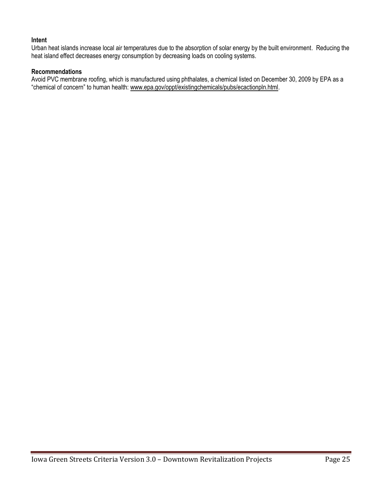#### **Intent**

Urban heat islands increase local air temperatures due to the absorption of solar energy by the built environment. Reducing the heat island effect decreases energy consumption by decreasing loads on cooling systems.

#### **Recommendations**

Avoid PVC membrane roofing, which is manufactured using phthalates, a chemical listed on December 30, 2009 by EPA as a "chemical of concern" to human health: [www.epa.gov/oppt/existingchemicals/pubs/ecactionpln.html.](http://www.epa.gov/oppt/existingchemicals/pubs/ecactionpln.html)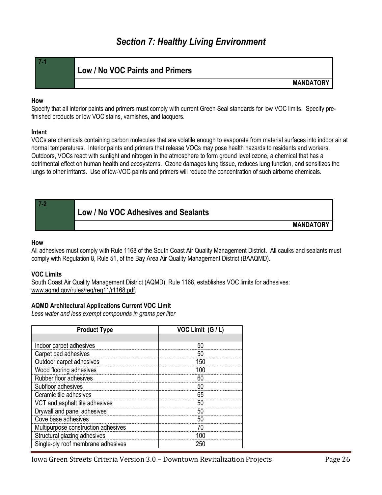## *Section 7: Healthy Living Environment*

<span id="page-25-1"></span><span id="page-25-0"></span>

| 7-1 | Low / No VOC Paints and Primers |
|-----|---------------------------------|
|     |                                 |

**MANDATORY**

#### **How**

Specify that all interior paints and primers must comply with current Green Seal standards for low VOC limits. Specify prefinished products or low VOC stains, varnishes, and lacquers.

#### **Intent**

VOCs are chemicals containing carbon molecules that are volatile enough to evaporate from material surfaces into indoor air at normal temperatures. Interior paints and primers that release VOCs may pose health hazards to residents and workers. Outdoors, VOCs react with sunlight and nitrogen in the atmosphere to form ground level ozone, a chemical that has a detrimental effect on human health and ecosystems. Ozone damages lung tissue, reduces lung function, and sensitizes the lungs to other irritants. Use of low-VOC paints and primers will reduce the concentration of such airborne chemicals.

<span id="page-25-2"></span>

| Low / No VOC Adhesives and Sealants |
|-------------------------------------|
|-------------------------------------|

**MANDATORY** 

#### **How**

**7-2**

All adhesives must comply with Rule 1168 of the South Coast Air Quality Management District. All caulks and sealants must comply with Regulation 8, Rule 51, of the Bay Area Air Quality Management District (BAAQMD).

#### **VOC Limits**

South Coast Air Quality Management District (AQMD), Rule 1168, establishes VOC limits for adhesives: [www.aqmd.gov/rules/reg/reg11/r1168.pdf.](http://www.aqmd.gov/rules/reg/reg11/r1168.pdf)

#### **AQMD Architectural Applications Current VOC Limit**

*Less water and less exempt compounds in grams per liter*

| <b>Product Type</b>                 | VOC Limit (G / L) |
|-------------------------------------|-------------------|
|                                     |                   |
| Indoor carpet adhesives             | 50                |
| Carpet pad adhesives                | 50                |
| Outdoor carpet adhesives            | 150               |
| Wood flooring adhesives             | 100               |
| Rubber floor adhesives              | 60                |
| Subfloor adhesives                  | 50                |
| Ceramic tile adhesives              | 65                |
| VCT and asphalt tile adhesives      | 50                |
| Drywall and panel adhesives         | 50                |
| Cove base adhesives                 | 50                |
| Multipurpose construction adhesives |                   |
| Structural glazing adhesives        | 100               |
| Single-ply roof membrane adhesives  | 250               |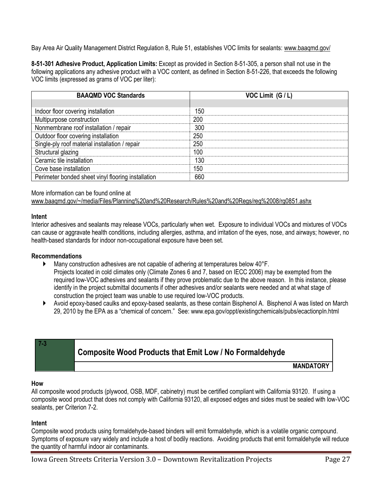Bay Area Air Quality Management District Regulation 8, Rule 51, establishes VOC limits for sealants: [www.baaqmd.gov/](http://www.baaqmd.gov/)

**8-51-301 Adhesive Product, Application Limits:** Except as provided in Section 8-51-305, a person shall not use in the following applications any adhesive product with a VOC content, as defined in Section 8-51-226, that exceeds the following VOC limits (expressed as grams of VOC per liter):

| <b>BAAQMD VOC Standards</b>                        | VOC Limit (G / L) |
|----------------------------------------------------|-------------------|
|                                                    |                   |
| Indoor floor covering installation                 | 150               |
| Multipurpose construction                          | 200               |
| Nonmembrane roof installation / repair             | 300               |
| Outdoor floor covering installation                | 250               |
| Single-ply roof material installation / repair     | 250               |
| Structural glazing                                 | 100               |
| Ceramic tile installation                          | 130               |
| Cove base installation                             | 150               |
| Perimeter bonded sheet vinyl flooring installation | 660               |

#### More information can be found online at

[www.baaqmd.gov/~/media/Files/Planning%20and%20Research/Rules%20and%20Regs/reg%2008/rg0851.ashx](http://www.baaqmd.gov/~/media/Files/Planning%20and%20Research/Rules%20and%20Regs/reg%2008/rg0851.ashx)

#### **Intent**

Interior adhesives and sealants may release VOCs, particularly when wet. Exposure to individual VOCs and mixtures of VOCs can cause or aggravate health conditions, including allergies, asthma, and irritation of the eyes, nose, and airways; however, no health-based standards for indoor non-occupational exposure have been set.

#### **Recommendations**

- Many construction adhesives are not capable of adhering at temperatures below 40°F. Projects located in cold climates only (Climate Zones 6 and 7, based on IECC 2006) may be exempted from the required low-VOC adhesives and sealants if they prove problematic due to the above reason. In this instance, please identify in the project submittal documents if other adhesives and/or sealants were needed and at what stage of construction the project team was unable to use required low-VOC products.
- Avoid epoxy-based caulks and epoxy-based sealants, as these contain Bisphenol A. Bisphenol A was listed on March 29, 2010 by the EPA as a "chemical of concern." See: www.epa.gov/oppt/existingchemicals/pubs/ecactionpln.html

## <span id="page-26-0"></span>**Composite Wood Products that Emit Low / No Formaldehyde**

**MANDATORY** 

#### **How**

**7-3**

All composite wood products (plywood, OSB, MDF, cabinetry) must be certified compliant with California 93120. If using a composite wood product that does not comply with California 93120, all exposed edges and sides must be sealed with low-VOC sealants, per Criterion 7-2.

#### **Intent**

Composite wood products using formaldehyde-based binders will emit formaldehyde, which is a volatile organic compound. Symptoms of exposure vary widely and include a host of bodily reactions. Avoiding products that emit formaldehyde will reduce the quantity of harmful indoor air contaminants.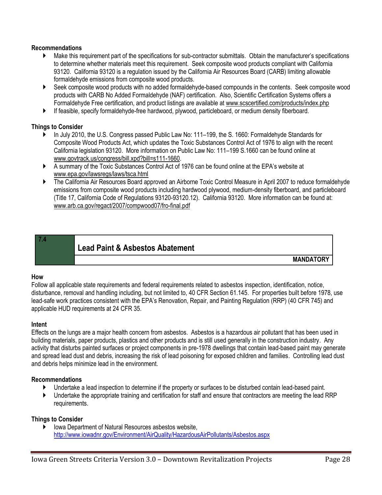#### **Recommendations**

- Make this requirement part of the specifications for sub-contractor submittals. Obtain the manufacturer's specifications to determine whether materials meet this requirement. Seek composite wood products compliant with California 93120. California 93120 is a regulation issued by the California Air Resources Board (CARB) limiting allowable formaldehyde emissions from composite wood products.
- ▶ Seek composite wood products with no added formaldehyde-based compounds in the contents. Seek composite wood products with CARB No Added Formaldehyde (NAF) certification. Also, Scientific Certification Systems offers a Formaldehyde Free certification, and product listings are available at [www.scscertified.com/products/index.php](http://www.scscertified.com/products/index.php)
- If feasible, specify formaldehyde-free hardwood, plywood, particleboard, or medium density fiberboard.

#### **Things to Consider**

- ▶ In July 2010, the U.S. Congress passed Public Law No: 111–199, the S. 1660: Formaldehyde Standards for Composite Wood Products Act, which updates the Toxic Substances Control Act of 1976 to align with the recent California legislation 93120. More information on Public Law No: 111–199 S.1660 can be found online at [www.govtrack.us/congress/bill.xpd?bill=s111-1660.](http://www.govtrack.us/congress/bill.xpd?bill=s111-1660)
- A summary of the Toxic Substances Control Act of 1976 can be found online at the EPA's website at [www.epa.gov/lawsregs/laws/tsca.html](http://www.epa.gov/lawsregs/laws/tsca.html)
- The California Air Resources Board approved an Airborne Toxic Control Measure in April 2007 to reduce formaldehyde emissions from composite wood products including hardwood plywood, medium-density fiberboard, and particleboard (Title 17, California Code of Regulations 93120-93120.12). California 93120. More information can be found at: [www.arb.ca.gov/regact/2007/compwood07/fro-final.pdf](http://www.arb.ca.gov/regact/2007/compwood07/fro-final.pdf)

#### **7.4**

<span id="page-27-0"></span>**Lead Paint & Asbestos Abatement**

**MANDATORY**

#### **How**

Follow all applicable state requirements and federal requirements related to asbestos inspection, identification, notice, disturbance, removal and handling including, but not limited to, 40 CFR Section 61.145. For properties built before 1978, use lead-safe work practices consistent with the EPA's Renovation, Repair, and Painting Regulation (RRP) (40 CFR 745) and applicable HUD requirements at 24 CFR 35.

#### **Intent**

Effects on the lungs are a major health concern from asbestos. Asbestos is a hazardous air pollutant that has been used in building materials, paper products, plastics and other products and is still used generally in the construction industry. Any activity that disturbs painted surfaces or project components in pre-1978 dwellings that contain lead-based paint may generate and spread lead dust and debris, increasing the risk of lead poisoning for exposed children and families. Controlling lead dust and debris helps minimize lead in the environment.

#### **Recommendations**

- Undertake a lead inspection to determine if the property or surfaces to be disturbed contain lead-based paint.
- Undertake the appropriate training and certification for staff and ensure that contractors are meeting the lead RRP requirements.

#### **Things to Consider**

▶ Iowa Department of Natural Resources asbestos website, <http://www.iowadnr.gov/Environment/AirQuality/HazardousAirPollutants/Asbestos.aspx>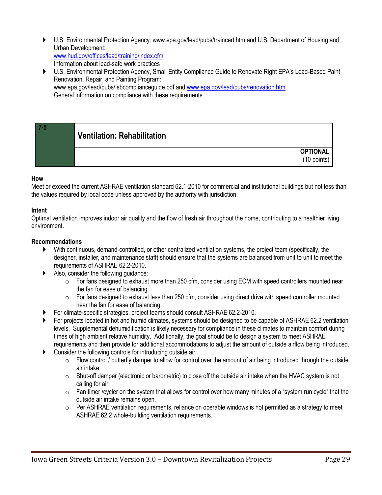- U.S. Environmental Protection Agency: www.epa.gov/lead/pubs/traincert.htm and U.S. Department of Housing and Urban Development: [www.hud.gov/offices/lead/training/index.cfm](http://www.hud.gov/offices/lead/training/index.cfm) Information about lead-safe work practices
- U.S. Environmental Protection Agency, Small Entity Compliance Guide to Renovate Right EPA's Lead-Based Paint Renovation, Repair, and Painting Program: www.epa.gov/lead/pubs/ sbcomplianceguide.pdf an[d www.epa.gov/lead/pubs/renovation.htm](http://www.epa.gov/lead/pubs/renovation.htm) General information on compliance with these requirements

## <span id="page-28-0"></span>**Ventilation: Rehabilitation**

**OPTIONAL** (10 points)

#### **How**

**7-5**

Meet or exceed the current ASHRAE ventilation standard 62.1-2010 for commercial and institutional buildings but not less than the values required by local code unless approved by the authority with jurisdiction.

#### **Intent**

Optimal ventilation improves indoor air quality and the flow of fresh air throughout the home, contributing to a healthier living environment.

#### **Recommendations**

- With continuous, demand-controlled, or other centralized ventilation systems, the project team (specifically, the designer, installer, and maintenance staff) should ensure that the systems are balanced from unit to unit to meet the requirements of ASHRAE 62.2-2010.
- Also, consider the following guidance:
	- $\circ$  For fans designed to exhaust more than 250 cfm, consider using ECM with speed controllers mounted near the fan for ease of balancing.
	- $\circ$  For fans designed to exhaust less than 250 cfm, consider using direct drive with speed controller mounted near the fan for ease of balancing.
- For climate-specific strategies, project teams should consult ASHRAE 62.2-2010.
- For projects located in hot and humid climates, systems should be designed to be capable of ASHRAE 62.2 ventilation levels. Supplemental dehumidification is likely necessary for compliance in these climates to maintain comfort during times of high ambient relative humidity. Additionally, the goal should be to design a system to meet ASHRAE requirements and then provide for additional accommodations to adjust the amount of outside airflow being introduced.
- Consider the following controls for introducing outside air:
	- $\circ$  Flow control / butterfly damper to allow for control over the amount of air being introduced through the outside air intake.
	- o Shut-off damper (electronic or barometric) to close off the outside air intake when the HVAC system is not calling for air.
	- $\circ$  Fan timer / cycler on the system that allows for control over how many minutes of a "system run cycle" that the outside air intake remains open.
	- $\circ$  Per ASHRAE ventilation requirements, reliance on operable windows is not permitted as a strategy to meet ASHRAE 62.2 whole-building ventilation requirements.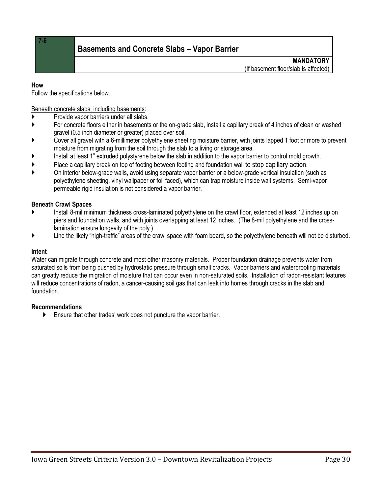**7-6**

## <span id="page-29-0"></span>**Basements and Concrete Slabs – Vapor Barrier**

**MANDATORY** (If basement floor/slab is affected)

#### **How**

Follow the specifications below.

Beneath concrete slabs, including basements:

- **Provide vapor barriers under all slabs.**
- For concrete floors either in basements or the on-grade slab, install a capillary break of 4 inches of clean or washed gravel (0.5 inch diameter or greater) placed over soil.
- Cover all gravel with a 6-millimeter polyethylene sheeting moisture barrier, with joints lapped 1 foot or more to prevent moisture from migrating from the soil through the slab to a living or storage area.
- Install at least 1" extruded polystyrene below the slab in addition to the vapor barrier to control mold growth.
- Place a capillary break on top of footing between footing and foundation wall to stop capillary action.
- On interior below-grade walls, avoid using separate vapor barrier or a below-grade vertical insulation (such as polyethylene sheeting, vinyl wallpaper or foil faced), which can trap moisture inside wall systems. Semi-vapor permeable rigid insulation is not considered a vapor barrier.

#### **Beneath Crawl Spaces**

- Install 8-mil minimum thickness cross-laminated polyethylene on the crawl floor, extended at least 12 inches up on piers and foundation walls, and with joints overlapping at least 12 inches. (The 8-mil polyethylene and the crosslamination ensure longevity of the poly.)
- Line the likely "high-traffic" areas of the crawl space with foam board, so the polyethylene beneath will not be disturbed.

#### **Intent**

Water can migrate through concrete and most other masonry materials. Proper foundation drainage prevents water from saturated soils from being pushed by hydrostatic pressure through small cracks. Vapor barriers and waterproofing materials can greatly reduce the migration of moisture that can occur even in non-saturated soils. Installation of radon-resistant features will reduce concentrations of radon, a cancer-causing soil gas that can leak into homes through cracks in the slab and foundation.

#### **Recommendations**

Ensure that other trades' work does not puncture the vapor barrier.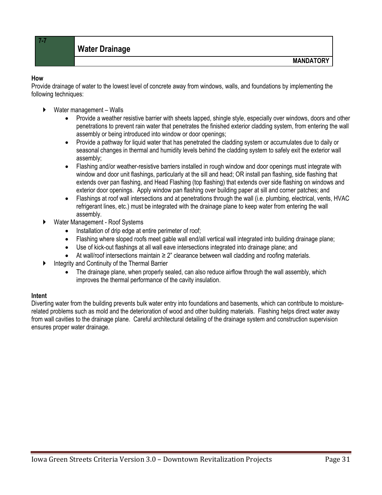#### **How**

<span id="page-30-0"></span>**7-7**

Provide drainage of water to the lowest level of concrete away from windows, walls, and foundations by implementing the following techniques:

- $\triangleright$  Water management Walls
	- Provide a weather resistive barrier with sheets lapped, shingle style, especially over windows, doors and other penetrations to prevent rain water that penetrates the finished exterior cladding system, from entering the wall assembly or being introduced into window or door openings;
	- Provide a pathway for liquid water that has penetrated the cladding system or accumulates due to daily or seasonal changes in thermal and humidity levels behind the cladding system to safely exit the exterior wall assembly;
	- Flashing and/or weather-resistive barriers installed in rough window and door openings must integrate with window and door unit flashings, particularly at the sill and head; OR install pan flashing, side flashing that extends over pan flashing, and Head Flashing (top flashing) that extends over side flashing on windows and exterior door openings. Apply window pan flashing over building paper at sill and corner patches; and
	- Flashings at roof wall intersections and at penetrations through the wall (i.e. plumbing, electrical, vents, HVAC refrigerant lines, etc.) must be integrated with the drainage plane to keep water from entering the wall assembly.
- Water Management Roof Systems
	- Installation of drip edge at entire perimeter of roof;
	- Flashing where sloped roofs meet gable wall end/all vertical wall integrated into building drainage plane;
	- Use of kick-out flashings at all wall eave intersections integrated into drainage plane; and
	- At wall/roof intersections maintain ≥ 2" clearance between wall cladding and roofing materials.
- **Integrity and Continuity of the Thermal Barrier** 
	- The drainage plane, when properly sealed, can also reduce airflow through the wall assembly, which improves the thermal performance of the cavity insulation.

#### **Intent**

Diverting water from the building prevents bulk water entry into foundations and basements, which can contribute to moisturerelated problems such as mold and the deterioration of wood and other building materials. Flashing helps direct water away from wall cavities to the drainage plane. Careful architectural detailing of the drainage system and construction supervision ensures proper water drainage.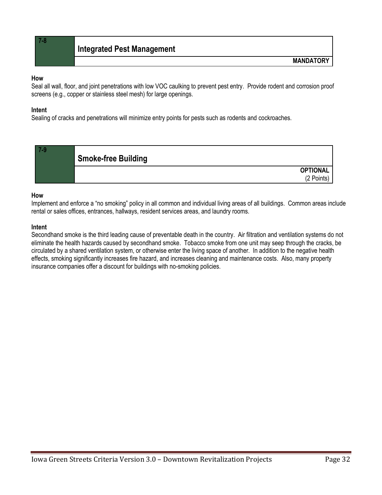<span id="page-31-0"></span>**7-8**

#### **How**

Seal all wall, floor, and joint penetrations with low VOC caulking to prevent pest entry. Provide rodent and corrosion proof screens (e.g., copper or stainless steel mesh) for large openings.

#### **Intent**

Sealing of cracks and penetrations will minimize entry points for pests such as rodents and cockroaches.

<span id="page-31-1"></span>

#### **How**

Implement and enforce a "no smoking" policy in all common and individual living areas of all buildings. Common areas include rental or sales offices, entrances, hallways, resident services areas, and laundry rooms.

#### **Intent**

Secondhand smoke is the third leading cause of preventable death in the country. Air filtration and ventilation systems do not eliminate the health hazards caused by secondhand smoke. Tobacco smoke from one unit may seep through the cracks, be circulated by a shared ventilation system, or otherwise enter the living space of another. In addition to the negative health effects, smoking significantly increases fire hazard, and increases cleaning and maintenance costs. Also, many property insurance companies offer a discount for buildings with no-smoking policies.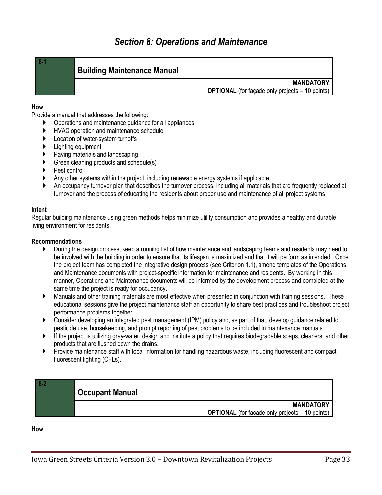#### <span id="page-32-1"></span>**Building Maintenance Manual**

#### **MANDATORY**

**OPTIONAL** (for façade only projects – 10 points)

#### **How**

<span id="page-32-0"></span>**8-1**

Provide a manual that addresses the following:

- Operations and maintenance guidance for all appliances
- HVAC operation and maintenance schedule
- **Location of water-system turnoffs**
- Lighting equipment
- Paving materials and landscaping
- Green cleaning products and schedule(s)
- Pest control
- Any other systems within the project, including renewable energy systems if applicable
- An occupancy turnover plan that describes the turnover process, including all materials that are frequently replaced at turnover and the process of educating the residents about proper use and maintenance of all project systems

#### **Intent**

Regular building maintenance using green methods helps minimize utility consumption and provides a healthy and durable living environment for residents.

#### **Recommendations**

- During the design process, keep a running list of how maintenance and landscaping teams and residents may need to be involved with the building in order to ensure that its lifespan is maximized and that it will perform as intended. Once the project team has completed the integrative design process (see Criterion 1.1), amend templates of the Operations and Maintenance documents with project-specific information for maintenance and residents. By working in this manner, Operations and Maintenance documents will be informed by the development process and completed at the same time the project is ready for occupancy.
- Manuals and other training materials are most effective when presented in conjunction with training sessions. These educational sessions give the project maintenance staff an opportunity to share best practices and troubleshoot project performance problems together.
- Consider developing an integrated pest management (IPM) policy and, as part of that, develop guidance related to pesticide use, housekeeping, and prompt reporting of pest problems to be included in maintenance manuals.
- $\blacktriangleright$  If the project is utilizing gray-water, design and institute a policy that requires biodegradable soaps, cleaners, and other products that are flushed down the drains.
- Provide maintenance staff with local information for handling hazardous waste, including fluorescent and compact fluorescent lighting (CFLs).

<span id="page-32-2"></span>

| $8-2$ | <b>Occupant Manual</b>                                                     |
|-------|----------------------------------------------------------------------------|
|       | <b>MANDATORY</b><br><b>OPTIONAL</b> (for façade only projects – 10 points) |

**How**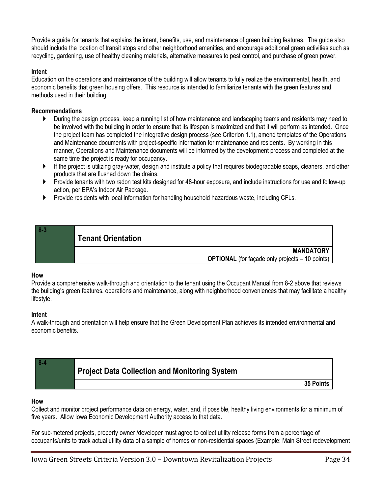Provide a guide for tenants that explains the intent, benefits, use, and maintenance of green building features. The guide also should include the location of transit stops and other neighborhood amenities, and encourage additional green activities such as recycling, gardening, use of healthy cleaning materials, alternative measures to pest control, and purchase of green power.

#### **Intent**

Education on the operations and maintenance of the building will allow tenants to fully realize the environmental, health, and economic benefits that green housing offers. This resource is intended to familiarize tenants with the green features and methods used in their building.

#### **Recommendations**

- During the design process, keep a running list of how maintenance and landscaping teams and residents may need to be involved with the building in order to ensure that its lifespan is maximized and that it will perform as intended. Once the project team has completed the integrative design process (see Criterion 1.1), amend templates of the Operations and Maintenance documents with project-specific information for maintenance and residents. By working in this manner, Operations and Maintenance documents will be informed by the development process and completed at the same time the project is ready for occupancy.
- $\blacktriangleright$  If the project is utilizing gray-water, design and institute a policy that requires biodegradable soaps, cleaners, and other products that are flushed down the drains.
- Provide tenants with two radon test kits designed for 48-hour exposure, and include instructions for use and follow-up action, per EPA's Indoor Air Package.
- ▶ Provide residents with local information for handling household hazardous waste, including CFLs.

## <span id="page-33-0"></span>**8-3 Tenant Orientation MANDATORY OPTIONAL** (for facade only projects – 10 points)

#### **How**

Provide a comprehensive walk-through and orientation to the tenant using the Occupant Manual from 8-2 above that reviews the building's green features, operations and maintenance, along with neighborhood conveniences that may facilitate a healthy lifestyle.

#### **Intent**

A walk-through and orientation will help ensure that the Green Development Plan achieves its intended environmental and economic benefits.

<span id="page-33-1"></span>

| <b>Project Data Collection and Monitoring System</b> |           |
|------------------------------------------------------|-----------|
|                                                      | 35 Points |

#### **How**

Collect and monitor project performance data on energy, water, and, if possible, healthy living environments for a minimum of five years. Allow Iowa Economic Development Authority access to that data.

For sub-metered projects, property owner /developer must agree to collect utility release forms from a percentage of occupants/units to track actual utility data of a sample of homes or non-residential spaces (Example: Main Street redevelopment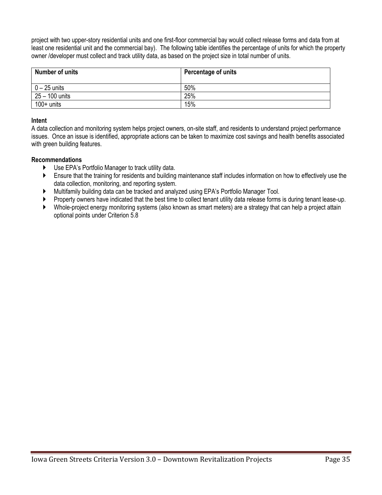project with two upper-story residential units and one first-floor commercial bay would collect release forms and data from at least one residential unit and the commercial bay). The following table identifies the percentage of units for which the property owner /developer must collect and track utility data, as based on the project size in total number of units.

| Number of units | Percentage of units |
|-----------------|---------------------|
| $0 - 25$ units  | 50%                 |
| 25 - 100 units  | 25%                 |
| $100+$ units    | 15%                 |

#### **Intent**

A data collection and monitoring system helps project owners, on-site staff, and residents to understand project performance issues. Once an issue is identified, appropriate actions can be taken to maximize cost savings and health benefits associated with green building features.

#### **Recommendations**

- Use EPA's Portfolio Manager to track utility data.
- Ensure that the training for residents and building maintenance staff includes information on how to effectively use the data collection, monitoring, and reporting system.
- Multifamily building data can be tracked and analyzed using EPA's Portfolio Manager Tool.
- Property owners have indicated that the best time to collect tenant utility data release forms is during tenant lease-up.
- Whole-project energy monitoring systems (also known as smart meters) are a strategy that can help a project attain optional points under Criterion 5.8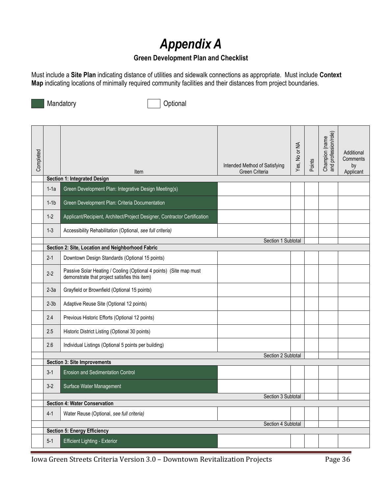# *Appendix A*

## **Green Development Plan and Checklist**

<span id="page-35-0"></span>Must include a **Site Plan** indicating distance of utilities and sidewalk connections as appropriate. Must include **Context Map** indicating locations of minimally required community facilities and their distances from project boundaries.

Mandatory **Optional** 

| Completed |         | Item                                                                                                                | Intended Method of Satisfying<br>Green Criteria | Yes, No or NA | Points | Champion (name<br>and profession/role) | Additional<br>Comments<br>by<br>Applicant |
|-----------|---------|---------------------------------------------------------------------------------------------------------------------|-------------------------------------------------|---------------|--------|----------------------------------------|-------------------------------------------|
|           |         | <b>Section 1: Integrated Design</b>                                                                                 |                                                 |               |        |                                        |                                           |
|           | $1-1a$  | Green Development Plan: Integrative Design Meeting(s)                                                               |                                                 |               |        |                                        |                                           |
|           | $1-1b$  | Green Development Plan: Criteria Documentation                                                                      |                                                 |               |        |                                        |                                           |
|           | $1 - 2$ | Applicant/Recipient, Architect/Project Designer, Contractor Certification                                           |                                                 |               |        |                                        |                                           |
|           | $1 - 3$ | Accessibility Rehabilitation (Optional, see full criteria)                                                          |                                                 |               |        |                                        |                                           |
|           |         |                                                                                                                     | Section 1 Subtotal                              |               |        |                                        |                                           |
|           |         | Section 2: Site, Location and Neighborhood Fabric                                                                   |                                                 |               |        |                                        |                                           |
|           | $2 - 1$ | Downtown Design Standards (Optional 15 points)                                                                      |                                                 |               |        |                                        |                                           |
|           | $2 - 2$ | Passive Solar Heating / Cooling (Optional 4 points) (Site map must<br>demonstrate that project satisfies this item) |                                                 |               |        |                                        |                                           |
|           | $2-3a$  | Grayfield or Brownfield (Optional 15 points)                                                                        |                                                 |               |        |                                        |                                           |
|           | $2-3b$  | Adaptive Reuse Site (Optional 12 points)                                                                            |                                                 |               |        |                                        |                                           |
|           | 2.4     | Previous Historic Efforts (Optional 12 points)                                                                      |                                                 |               |        |                                        |                                           |
|           | 2.5     | Historic District Listing (Optional 30 points)                                                                      |                                                 |               |        |                                        |                                           |
|           | 2.6     | Individual Listings (Optional 5 points per building)                                                                |                                                 |               |        |                                        |                                           |
|           |         |                                                                                                                     | Section 2 Subtotal                              |               |        |                                        |                                           |
|           |         | <b>Section 3: Site Improvements</b>                                                                                 |                                                 |               |        |                                        |                                           |
|           | $3 - 1$ | <b>Erosion and Sedimentation Control</b>                                                                            |                                                 |               |        |                                        |                                           |
|           | $3-2$   | Surface Water Management                                                                                            |                                                 |               |        |                                        |                                           |
|           |         |                                                                                                                     | Section 3 Subtotal                              |               |        |                                        |                                           |
|           |         | <b>Section 4: Water Conservation</b>                                                                                |                                                 |               |        |                                        |                                           |
|           | $4 - 1$ | Water Reuse (Optional, see full criteria)                                                                           |                                                 |               |        |                                        |                                           |
|           |         |                                                                                                                     | Section 4 Subtotal                              |               |        |                                        |                                           |
|           |         | <b>Section 5: Energy Efficiency</b>                                                                                 |                                                 |               |        |                                        |                                           |
|           | $5-1$   | <b>Efficient Lighting - Exterior</b>                                                                                |                                                 |               |        |                                        |                                           |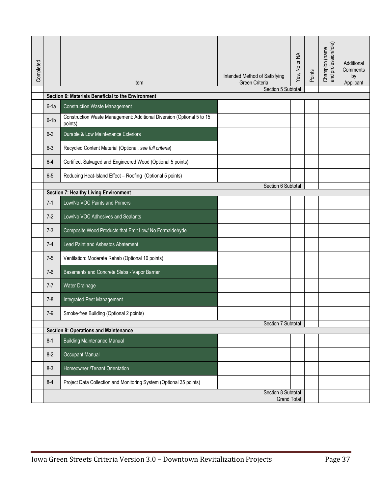| Completed |                                                                                       | Item                                                                             | Intended Method of Satisfying<br>Green Criteria | Yes, No or NA | Points | Champion (name<br>and profession/role) | Additional<br>Comments<br>by<br>Applicant |
|-----------|---------------------------------------------------------------------------------------|----------------------------------------------------------------------------------|-------------------------------------------------|---------------|--------|----------------------------------------|-------------------------------------------|
|           |                                                                                       | Section 6: Materials Beneficial to the Environment                               | Section 5 Subtotal                              |               |        |                                        |                                           |
|           | $6-1a$                                                                                | <b>Construction Waste Management</b>                                             |                                                 |               |        |                                        |                                           |
|           | $6-1b$                                                                                | Construction Waste Management: Additional Diversion (Optional 5 to 15<br>points) |                                                 |               |        |                                        |                                           |
|           | $6-2$                                                                                 | Durable & Low Maintenance Exteriors                                              |                                                 |               |        |                                        |                                           |
|           | $6 - 3$                                                                               | Recycled Content Material (Optional, see full criteria)                          |                                                 |               |        |                                        |                                           |
|           | $6 - 4$                                                                               | Certified, Salvaged and Engineered Wood (Optional 5 points)                      |                                                 |               |        |                                        |                                           |
|           | $6-5$                                                                                 | Reducing Heat-Island Effect - Roofing (Optional 5 points)                        |                                                 |               |        |                                        |                                           |
|           |                                                                                       | <b>Section 7: Healthy Living Environment</b>                                     | Section 6 Subtotal                              |               |        |                                        |                                           |
|           | $7 - 1$                                                                               | Low/No VOC Paints and Primers                                                    |                                                 |               |        |                                        |                                           |
|           | $7-2$                                                                                 | Low/No VOC Adhesives and Sealants                                                |                                                 |               |        |                                        |                                           |
|           | $7 - 3$                                                                               | Composite Wood Products that Emit Low/ No Formaldehyde                           |                                                 |               |        |                                        |                                           |
|           | $7-4$                                                                                 | Lead Paint and Asbestos Abatement                                                |                                                 |               |        |                                        |                                           |
|           | $7-5$                                                                                 | Ventilation: Moderate Rehab (Optional 10 points)                                 |                                                 |               |        |                                        |                                           |
|           | $7-6$                                                                                 | Basements and Concrete Slabs - Vapor Barrier                                     |                                                 |               |        |                                        |                                           |
|           | $7 - 7$                                                                               | Water Drainage                                                                   |                                                 |               |        |                                        |                                           |
|           | $7 - 8$                                                                               | Integrated Pest Management                                                       |                                                 |               |        |                                        |                                           |
|           | $7-9$                                                                                 | Smoke-free Building (Optional 2 points)                                          |                                                 |               |        |                                        |                                           |
|           |                                                                                       | <b>Section 8: Operations and Maintenance</b>                                     | Section 7 Subtotal                              |               |        |                                        |                                           |
|           | $8 - 1$                                                                               | <b>Building Maintenance Manual</b>                                               |                                                 |               |        |                                        |                                           |
|           | $8 - 2$                                                                               | Occupant Manual                                                                  |                                                 |               |        |                                        |                                           |
|           | $8 - 3$                                                                               | Homeowner /Tenant Orientation                                                    |                                                 |               |        |                                        |                                           |
|           | $8 - 4$                                                                               | Project Data Collection and Monitoring System (Optional 35 points)               |                                                 |               |        |                                        |                                           |
|           |                                                                                       |                                                                                  | Section 8 Subtotal<br><b>Grand Total</b>        |               |        |                                        |                                           |
|           | Page 37<br>Iowa Green Streets Criteria Version 3.0 - Downtown Revitalization Projects |                                                                                  |                                                 |               |        |                                        |                                           |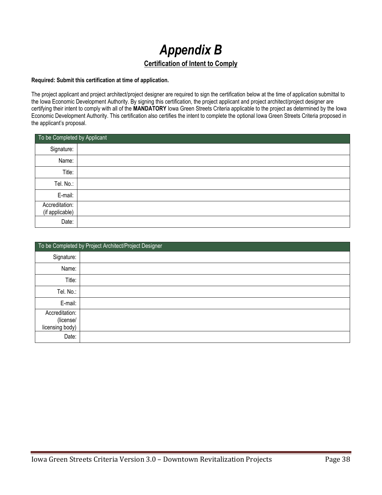# *Appendix B* **Certification of Intent to Comply**

#### <span id="page-37-0"></span>**Required: Submit this certification at time of application.**

The project applicant and project architect/project designer are required to sign the certification below at the time of application submittal to the Iowa Economic Development Authority. By signing this certification, the project applicant and project architect/project designer are certifying their intent to comply with all of the **MANDATORY** Iowa Green Streets Criteria applicable to the project as determined by the Iowa Economic Development Authority. This certification also certifies the intent to complete the optional Iowa Green Streets Criteria proposed in the applicant's proposal.

|                                   | To be Completed by Applicant |  |  |  |  |
|-----------------------------------|------------------------------|--|--|--|--|
| Signature:                        |                              |  |  |  |  |
| Name:                             |                              |  |  |  |  |
| Title:                            |                              |  |  |  |  |
| Tel. No.:                         |                              |  |  |  |  |
| E-mail:                           |                              |  |  |  |  |
| Accreditation:<br>(if applicable) |                              |  |  |  |  |
| Date:                             |                              |  |  |  |  |

|                                                | To be Completed by Project Architect/Project Designer |
|------------------------------------------------|-------------------------------------------------------|
| Signature:                                     |                                                       |
| Name:                                          |                                                       |
| Title:                                         |                                                       |
| Tel. No.:                                      |                                                       |
| E-mail:                                        |                                                       |
| Accreditation:<br>(license/<br>licensing body) |                                                       |
| Date:                                          |                                                       |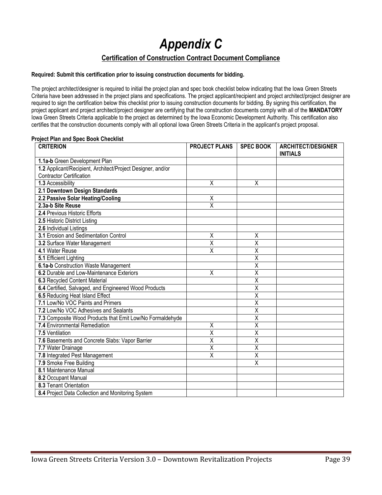*Appendix C*

#### **Certification of Construction Contract Document Compliance**

#### <span id="page-38-0"></span>**Required: Submit this certification prior to issuing construction documents for bidding.**

The project architect/designer is required to initial the project plan and spec book checklist below indicating that the Iowa Green Streets Criteria have been addressed in the project plans and specifications. The project applicant/recipient and project architect/project designer are required to sign the certification below this checklist prior to issuing construction documents for bidding. By signing this certification, the project applicant and project architect/project designer are certifying that the construction documents comply with all of the **MANDATORY** Iowa Green Streets Criteria applicable to the project as determined by the Iowa Economic Development Authority. This certification also certifies that the construction documents comply with all optional Iowa Green Streets Criteria in the applicant's project proposal.

#### **Project Plan and Spec Book Checklist**

| <b>CRITERION</b>                                            | <b>PROJECT PLANS</b>    | <b>SPEC BOOK</b>        | <b>ARCHITECT/DESIGNER</b><br><b>INITIALS</b> |
|-------------------------------------------------------------|-------------------------|-------------------------|----------------------------------------------|
| 1.1a-b Green Development Plan                               |                         |                         |                                              |
| 1.2 Applicant/Recipient, Architect/Project Designer, and/or |                         |                         |                                              |
| <b>Contractor Certification</b>                             |                         |                         |                                              |
| 1.3 Accessibility                                           | $\overline{\mathsf{x}}$ | X                       |                                              |
| 2.1 Downtown Design Standards                               |                         |                         |                                              |
| 2.2 Passive Solar Heating/Cooling                           | Χ                       |                         |                                              |
| 2.3a-b Site Reuse                                           | $\overline{\mathsf{x}}$ |                         |                                              |
| 2.4 Previous Historic Efforts                               |                         |                         |                                              |
| 2.5 Historic District Listing                               |                         |                         |                                              |
| 2.6 Individual Listings                                     |                         |                         |                                              |
| 3.1 Erosion and Sedimentation Control                       | $\overline{\mathsf{x}}$ | Χ                       |                                              |
| 3.2 Surface Water Management                                | $\overline{\mathsf{x}}$ | $\overline{\mathsf{x}}$ |                                              |
| 4.1 Water Reuse                                             | X                       | $\overline{\mathsf{x}}$ |                                              |
| 5.1 Efficient Lighting                                      |                         | $\overline{\mathsf{x}}$ |                                              |
| 6.1a-b Construction Waste Management                        |                         | $\overline{\mathsf{x}}$ |                                              |
| 6.2 Durable and Low-Maintenance Exteriors                   | $\overline{\mathsf{X}}$ | $\overline{\mathsf{x}}$ |                                              |
| 6.3 Recycled Content Material                               |                         | $\overline{\mathsf{x}}$ |                                              |
| 6.4 Certified, Salvaged, and Engineered Wood Products       |                         | $\overline{\mathsf{x}}$ |                                              |
| 6.5 Reducing Heat Island Effect                             |                         | $\overline{\mathsf{x}}$ |                                              |
| 7.1 Low/No VOC Paints and Primers                           |                         | $\overline{\mathsf{x}}$ |                                              |
| 7.2 Low/No VOC Adhesives and Sealants                       |                         | $\overline{\mathsf{x}}$ |                                              |
| 7.3 Composite Wood Products that Emit Low/No Formaldehyde   |                         | Χ                       |                                              |
| 7.4 Environmental Remediation                               | $\overline{\mathsf{x}}$ | $\overline{\mathsf{x}}$ |                                              |
| 7.5 Ventilation                                             | $\overline{\mathsf{x}}$ | $\overline{\mathsf{x}}$ |                                              |
| 7.6 Basements and Concrete Slabs: Vapor Barrier             | $\overline{\mathsf{x}}$ | $\overline{\mathsf{x}}$ |                                              |
| 7.7 Water Drainage                                          | $\overline{\mathsf{x}}$ | $\overline{\mathsf{x}}$ |                                              |
| 7.8 Integrated Pest Management                              | $\overline{\mathsf{x}}$ | $\overline{\mathsf{x}}$ |                                              |
| 7.9 Smoke Free Building                                     |                         | $\overline{\mathsf{x}}$ |                                              |
| 8.1 Maintenance Manual                                      |                         |                         |                                              |
| 8.2 Occupant Manual                                         |                         |                         |                                              |
| 8.3 Tenant Orientation                                      |                         |                         |                                              |
| 8.4 Project Data Collection and Monitoring System           |                         |                         |                                              |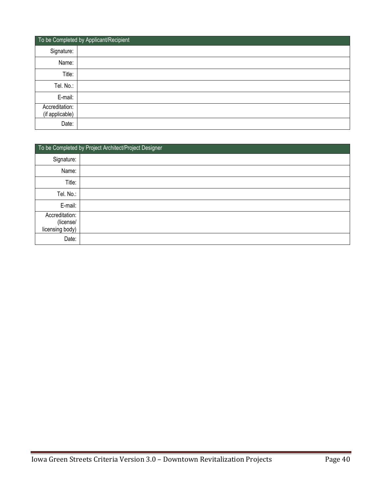|                                   | To be Completed by Applicant/Recipient |
|-----------------------------------|----------------------------------------|
| Signature:                        |                                        |
| Name:                             |                                        |
| Title:                            |                                        |
| Tel. No.:                         |                                        |
| E-mail:                           |                                        |
| Accreditation:<br>(if applicable) |                                        |
| Date:                             |                                        |

|                                                | To be Completed by Project Architect/Project Designer |
|------------------------------------------------|-------------------------------------------------------|
| Signature:                                     |                                                       |
| Name:                                          |                                                       |
| Title:                                         |                                                       |
| Tel. No.:                                      |                                                       |
| E-mail:                                        |                                                       |
| Accreditation:<br>(license/<br>licensing body) |                                                       |
| Date:                                          |                                                       |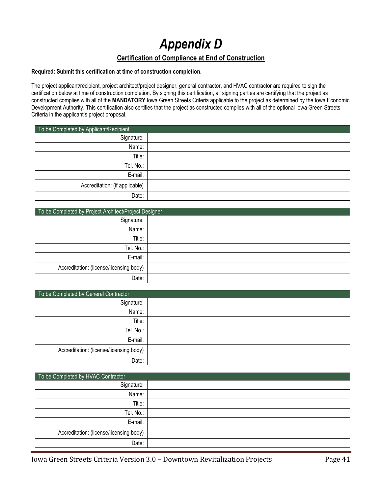## *Appendix D* **Certification of Compliance at End of Construction**

#### <span id="page-40-0"></span>**Required: Submit this certification at time of construction completion.**

The project applicant/recipient, project architect/project designer, general contractor, and HVAC contractor are required to sign the certification below at time of construction completion. By signing this certification, all signing parties are certifying that the project as constructed complies with all of the **MANDATORY** Iowa Green Streets Criteria applicable to the project as determined by the Iowa Economic Development Authority. This certification also certifies that the project as constructed complies with all of the optional Iowa Green Streets Criteria in the applicant's project proposal.

| To be Completed by Applicant/Recipient |  |
|----------------------------------------|--|
| Signature:                             |  |
| Name:                                  |  |
| Title:                                 |  |
| Tel. No.:                              |  |
| E-mail:                                |  |
| Accreditation: (if applicable)         |  |
| Date:                                  |  |

| To be Completed by Project Architect/Project Designer |  |  |
|-------------------------------------------------------|--|--|
| Signature:                                            |  |  |
| Name:                                                 |  |  |
| Title:                                                |  |  |
| Tel. No.:                                             |  |  |
| E-mail:                                               |  |  |
| Accreditation: (license/licensing body)               |  |  |
| Date:                                                 |  |  |

| To be Completed by General Contractor   |  |  |  |
|-----------------------------------------|--|--|--|
| Signature:                              |  |  |  |
| Name:                                   |  |  |  |
| Title:                                  |  |  |  |
| Tel. No.:                               |  |  |  |
| E-mail:                                 |  |  |  |
| Accreditation: (license/licensing body) |  |  |  |
| Date:                                   |  |  |  |

| To be Completed by HVAC Contractor      |  |
|-----------------------------------------|--|
| Signature:                              |  |
| Name:                                   |  |
| Title:                                  |  |
| Tel. No.:                               |  |
| E-mail:                                 |  |
| Accreditation: (license/licensing body) |  |
| Date:                                   |  |